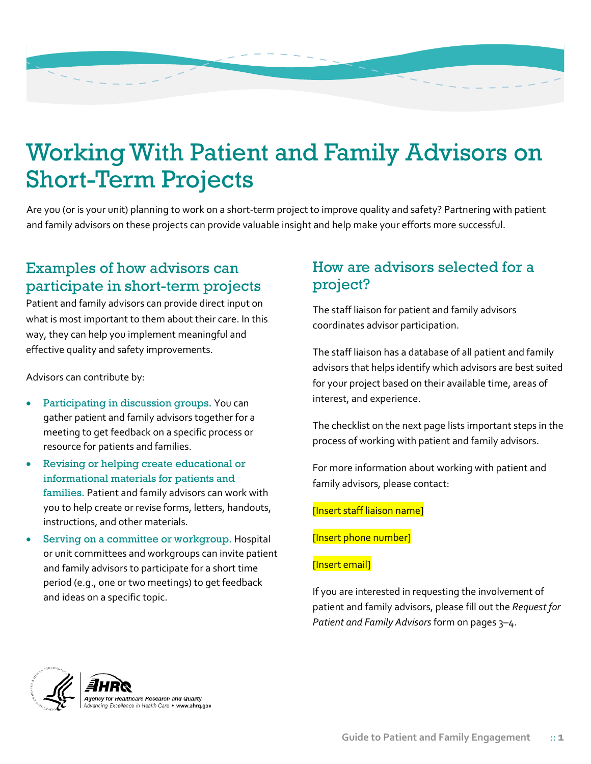

# Working With Patient and Family Advisors on Short-Term Projects

Are you (or is your unit) planning to work on a short-term project to improve quality and safety? Partnering with patient and family advisors on these projects can provide valuable insight and help make your efforts more successful.

# Examples of how advisors can participate in short-term projects

Patient and family advisors can provide direct input on what is most important to them about their care. In this way, they can help you implement meaningful and effective quality and safety improvements.

Advisors can contribute by:

- Participating in discussion groups. You can gather patient and family advisors together for a meeting to get feedback on a specific process or resource for patients and families.
- Revising or helping create educational or informational materials for patients and families. Patient and family advisors can work with you to help create or revise forms, letters, handouts, instructions, and other materials.
- Serving on a committee or workgroup. Hospital or unit committees and workgroups can invite patient and family advisors to participate for a short time period (e.g., one or two meetings) to get feedback and ideas on a specific topic.

### How are advisors selected for a project?

The staff liaison for patient and family advisors coordinates advisor participation.

The staff liaison has a database of all patient and family advisors that helps identify which advisors are best suited for your project based on their available time, areas of interest, and experience.

The checklist on the next page lists important steps in the process of working with patient and family advisors.

For more information about working with patient and family advisors, please contact:

### [Insert staff liaison name]

[Insert phone number]

### [Insert email]

If you are interested in requesting the involvement of patient and family advisors, please fill out the *Request for Patient and Family Advisors* form on pages 3–4.

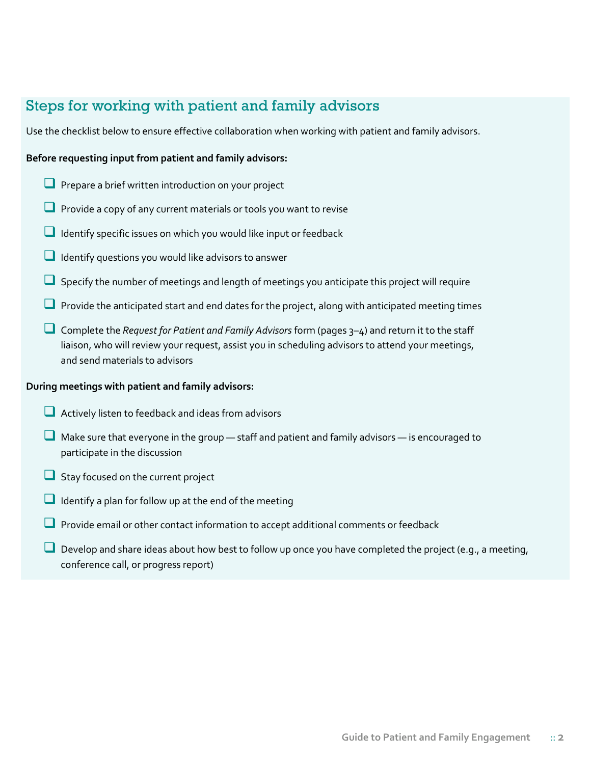## Steps for working with patient and family advisors

Use the checklist below to ensure effective collaboration when working with patient and family advisors.

### **Before requesting input from patient and family advisors:**

- **Prepare a brief written introduction on your project**
- $\Box$  Provide a copy of any current materials or tools you want to revise
- $\Box$  Identify specific issues on which you would like input or feedback
- $\Box$  Identify questions you would like advisors to answer
- $\Box$  Specify the number of meetings and length of meetings you anticipate this project will require
- **L** Provide the anticipated start and end dates for the project, along with anticipated meeting times
- Complete the *Request for Patient and Family Advisors* form (pages 3–4) and return it to the staff liaison, who will review your request, assist you in scheduling advisors to attend your meetings, and send materials to advisors

#### **During meetings with patient and family advisors:**

- Actively listen to feedback and ideas from advisors
- $\Box$  Make sure that everyone in the group  $-$  staff and patient and family advisors  $-$  is encouraged to participate in the discussion
- Stay focused on the current project
- Identify a plan for follow up at the end of the meeting
- **Provide email or other contact information to accept additional comments or feedback**
- Develop and share ideas about how best to follow up once you have completed the project (e.g., a meeting, conference call, or progress report)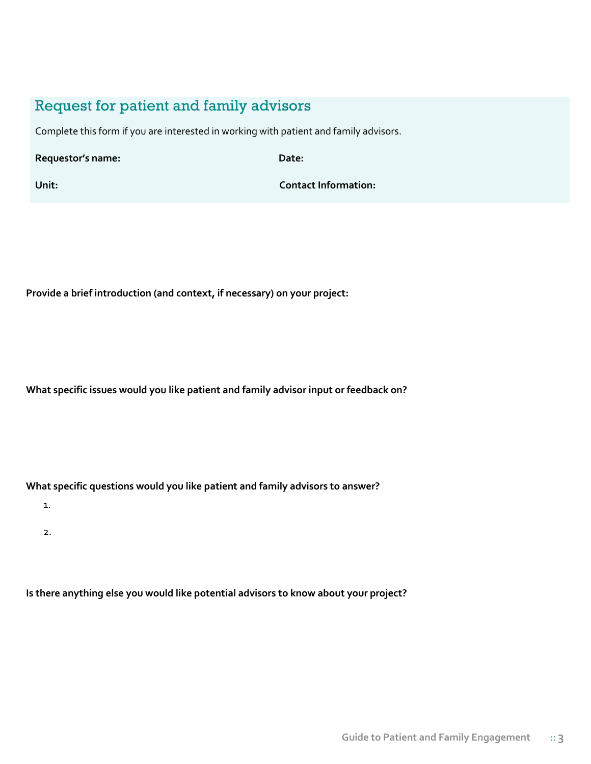### Request for patient and family advisors

Complete this form if you are interested in working with patient and family advisors.

**Requestor's name: Date:** 

**Unit: Contact Information:** 

**Provide a brief introduction (and context, if necessary) on your project:** 

**What specific issues would you like patient and family advisor input or feedback on?** 

**What specific questions would you like patient and family advisors to answer?**

1.

2.

**Is there anything else you would like potential advisors to know about your project?**